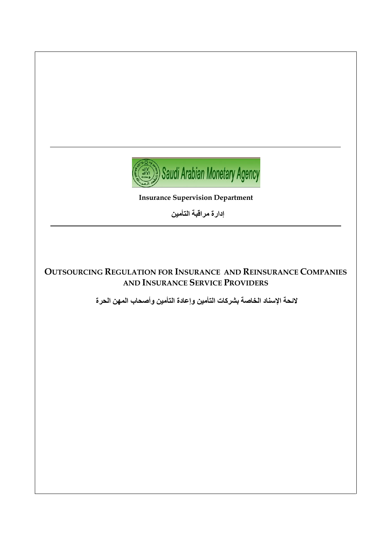

**Insurance Supervision Department**

**إدارة مراقبت التأمين**

### **OUTSOURCING REGULATION FOR INSURANCE AND REINSURANCE COMPANIES AND INSURANCE SERVICE PROVIDERS**

**الئحت اإلسناد الخاصت بشركاث التأمين وإعادة التأمين وأصحاب المهن الحرة**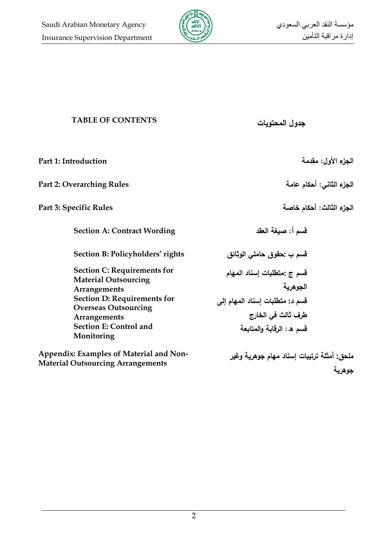

## **TABLE OF CONTENTS المحتويات جدول**

**الجزء األول: مقدمة Introduction 1: Part الجزء الثاني: أحكام عامة Rules Overarching 2: Part الجزء الثالث: أحكام خاصة Rules Specific 3: Part قسم أ: صيغة العقد Wording Contract :A Section قسم ب :حقوق حاممي الوثائق rights' Policyholders :B Section Section C: Requirements for Material Outsourcing Arrangements قسم ج :متطمبات إسناد المهام الجوهرية Section D: Requirements for Overseas Outsourcing Arrangements قسم د: متطمبات إسناد المهام إلى طرف ثالث في الخارج Section E: Control and Monitoring قسم ه: الرقابة والمتابعة Appendix: Examples of Material and Non-ممحق: أمثمة ترتيبات إسناد مهام جوهرية وغير** 

**Material Outsourcing Arrangements**

**جوهرية**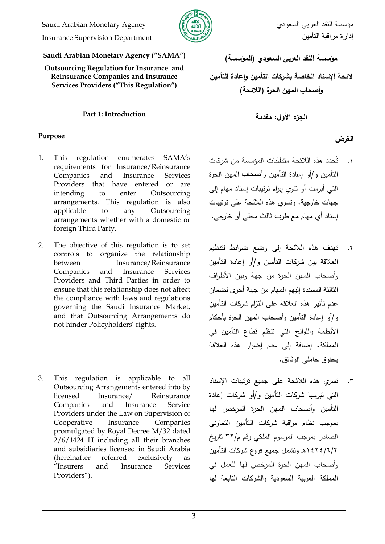

**Saudi Arabian Monetary Agency ("SAMA")**

**Outsourcing Regulation for Insurance and Reinsurance Companies and Insurance Services Providers ("This Regulation")**

### **الجزء األول: مقدمة Introduction 1: Part**

# **الغرض Purpose**

- 1. This regulation enumerates SAMA's requirements for Insurance/Reinsurance Companies and Insurance Services Providers that have entered or are intending to enter Outsourcing arrangements. This regulation is also applicable to any Outsourcing arrangements whether with a domestic or foreign Third Party.
- 2. The objective of this regulation is to set controls to organize the relationship between Insurance/Reinsurance Companies and Insurance Services Providers and Third Parties in order to ensure that this relationship does not affect the compliance with laws and regulations governing the Saudi Insurance Market, and that Outsourcing Arrangements do not hinder Policyholders' rights.
- 3. This regulation is applicable to all Outsourcing Arrangements entered into by licensed Insurance/ Reinsurance Companies and Insurance Service Providers under the Law on Supervision of Cooperative Insurance Companies promulgated by Royal Decree M/32 dated 2/6/1424 H including all their branches and subsidiaries licensed in Saudi Arabia (hereinafter referred exclusively as "Insurers and Insurance Services Providers").

**مؤسسة النقد العربي السعودي )المؤسسة( الئحة اإلسناد الخاصة بشركات التأمين واعادة التأمين و أصحاب المهن الحرة )الالئحة(** 

- ١. تُحدد هذه اللائحة متطلبات المؤسسة من شركات التأميف ك/أك إعادة التأميف وأصحاب الميف الحرة التي أبرمت أو نتوى إبرام ترتيبات إسناد مهام إلى جهات خارجية. وتسرى هذه اللائحة على ترتيبات إسناد أي مهام مع طرف ثالث محلي أو خارجي.
- تهدف هذه اللائحة إلى وضع ضوابط لتنظيم العلاقة بين شركات التأمين و/أو إعادة التأمين وأصحاب المهن الحرة من جهة وبين الأطراف الثالثة المسندة إليهم المهام من جهة أخرى لضمان عدم تأثير هذه العلاقة على التزام شركات التأمين و/أو إعادة التأمين وأصحاب المهن الحرة بأحكام الأنظمة واللوائح التي تنظم قطاع التأمين في المممكة، إضافة إلى عدـ إضرار ىذه العالقة بحقوق حاملي الوثائق.  $\mathbf{R}$ .
- ٣. تسري هذه اللائحة على جميع ترتيبات الإسناد التي تبرمها شركات التأمين و/أو شركات إعادة التأمين وأصحاب المهن الحرة المرخص لها بموجب نظام مراقبة شركات التأمين التعاوني الصادر بموجب المرسوم الملكى رقم م/٣٢ تاريخ 1424/6/2ىػ كتشمؿ جميع فركع شركات التأميف وأصحاب المهن الحرة المرخص لها للعمل في المملكة العربية السعودية والشركات التابعة لمها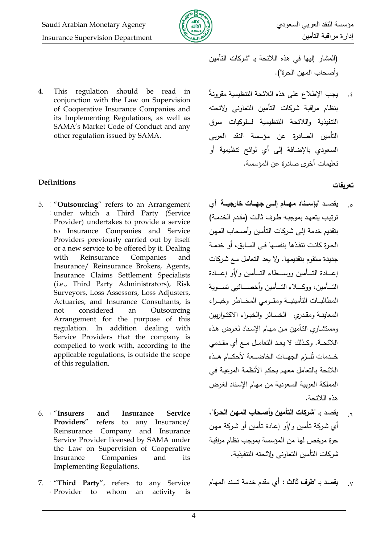

4. This regulation should be read in conjunction with the Law on Supervision of Cooperative Insurance Companies and its Implementing Regulations, as well as SAMA's Market Code of Conduct and any other regulation issued by SAMA.

# **تعريفات Definitions**

- 5. **1** "**Outsourcing**" refers to an Arrangement **2** under which a Third Party (Service **.** Provider) undertakes to provide a service to Insurance Companies and Service Providers previously carried out by itself or a new service to be offered by it. Dealing with Reinsurance Companies and Insurance/ Reinsurance Brokers, Agents, Insurance Claims Settlement Specialists (i.e., Third Party Administrators), Risk Surveyors, Loss Assessors, Loss Adjusters, Actuaries, and Insurance Consultants, is not considered an Outsourcing Arrangement for the purpose of this regulation. In addition dealing with Service Providers that the company is compelled to work with, according to the applicable regulations, is outside the scope of this regulation.
- 6. **6 .** and Insurance Service refers to any Insurance/ Reinsurance Company and Insurance Service Provider licensed by SAMA under the Law on Supervision of Cooperative Insurance Companies and its Implementing Regulations.
- 7. **1** "**Third Party**", refers to any Service **4** Provider to whom an activity is

(المشار إليها في هذه اللائحة بـ "شركات التأمين وأصحاب المهن الحرة").

يجب الإطلاع على هذه اللائحة التنظيمية مقرونةً بنظام مراقبة شركات التأمين التعاوني ولائحته التنفيذية واللائحة التنظيمية لسلوكيات سوق التأميف الصادرة عف مؤسسة النقد العربي السعودي بالإضافة إلى أي لوائح تنظيمية أو تعليمات أخرى صادرة عن المؤسسة.  $\cdot$ .

- ه<sub>. -</sub> يقصد "**بإسناد مهـام إلـ***ـى* **جهـات خارجيــة**" أي ترتيب يتعهد بموجبه طرف ثالث (مقدم الخدمة) بتقديم خدمة إلىي شركات التأمين وأصـحاب المـهن الحرة كانت تتفذها بنفسها في السابق، أو خدمة جديدة ستقوم بتقديمها. ولا يعد التعامل مـع شركات إعبادة التسأمين ووسيطاء التسأمين و/أو إعسادة التـــأمين، ووكــــلاء التـــأمين وأخصــــائيي تســـوية المطالبـات التأمينيــة ومقــومي المخــاطر وخبــراء المعاينـة ومقدرى الخسـائر والخبـراء الاكتـواريين ومستشاري التأمين من مهام الإسناد لغرض هذه اللائحـة. وكـذلك لا يعـد التعامـل مـع أي مقـدمي خــدمات تَلْــزم الجهــات الخاضـــعة لأحكــام هــذه اللائحة بالتعامل معهم بحكم الأنظمة المرعية في المملكة العربية السعودية من مهام الإسناد لغرض ىذه الالئحة. .
- <sub>٦. </sub> يقصد بـ "**شركات التأمين وأصحاب المهن الحرة**"، أي شركة تأمين و/أو إعادة تأمين أو شركة مهن حرة مرخص لها من المؤسسة بموجب نظام مراقبة شركات التأمين التعاوني ولائحته التتفيذية.

.7 **1** يقصد بػ **"طرف ثالث":** أم مقدـ خدمة تسػند الميػاـ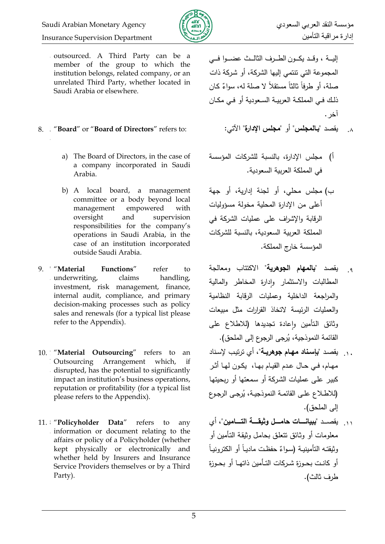

إدارة مراقبت التأميه Department Supervision Insurance

**.** outsourced. A Third Party can be a member of the group to which the institution belongs, related company, or an unrelated Third Party, whether located in Saudi Arabia or elsewhere.

### 8. **5** "**Board**" or "**Board of Directors**" refers to: :اآلتي" **اإلدارة مجمس** "أك" **بنالمجمس** "يقصد **5** .8

**.**

- a) The Board of Directors, in the case of a company incorporated in Saudi Arabia.
- b) A local board, a management committee or a body beyond local management empowered with oversight and supervision responsibilities for the company's operations in Saudi Arabia, in the case of an institution incorporated outside Saudi Arabia.
- 9. *Material* **.** underwriting, claims handling, Functions" refer to investment, risk management, finance, internal audit, compliance, and primary decision-making processes such as policy sales and renewals (for a typical list please refer to the Appendix).
- 10. **1** "**Material Outsourcing**" refers to an **1** Outsourcing Arrangement which, if **.** disrupted, has the potential to significantly impact an institution's business operations, reputation or profitability (for a typical list please refers to the Appendix).
- 11. **8** "**Policyholder Data**" refers to any **.** information or document relating to the affairs or policy of a Policyholder (whether kept physically or electronically and whether held by Insurers and Insurance Service Providers themselves or by a Third Party).

إليــة ، وقــد يكــون الطــرف الثالــث عضــوا فــي المجموعة التي تتتمي إليها الشركة، أو شركة ذات صلة، أو طرفا ثالثًا مستقلاً لا صلة له، سواءٌ كان ذلك في المملكة العربيـة السعودية أو في مكـان آخر. **.**

- 
- أ) مجلس الإدارة، بالنسبة للشركات المؤسسة في المملكة العربية السعودية.
- ب) مجلس محلي، أو لجنة إدارية، أو جهة أعلى من الإدارة المحلية مخولة مسؤوليات الرقابة والإشراف على عمليات الشركة في المملكة العربية السعودية، بالنسبة للشركات المؤسسة خارج المممكة.
- يقصد "**بالمهام الجوهرية**" االكتتاب كمعالجة المطالبات والاستثمار وإدارة المخاطر والمالية والمراجعة الداخلية وعمليات الرقابة النظامية والعمليات الرئيسة لاتخاذ القرارات مثل مبيعات وثائق التأمين وإعادة تجديدها (للاطلاع على القائمة النموذجية، يُرجى الرجوع إلى الملحق<mark>).</mark>  $\overline{q}$
- يقصد "**بإسناد مهام جوهريـة**"، أي ترتيب لإسناد مهـام، فـي حـال عـدم القيـام بـهـا، يكـون لـهـا أثـر كبير على عمليات الشركة أو سمعتها أو ربحيتها (للاطلاع علـى القائمـة النموذجيـة، يُرجـى الرجـوع إلى الملحق).  $\overline{1}$ .
- رد. يقصــد "**ببيانــــات حامـــل وثيقــــة التــــامين**"، أي معلومات أو وثـائق تتعلق بحامل وثيقة التـأمين أو رثيقتـه التأمينيـة (سـواءٌ حفظـت ماديـا أو الكترونيـا أو كانت بحـوزة شـركات التـأمين ذاتهـا أو بحـوزة طرف ثالث).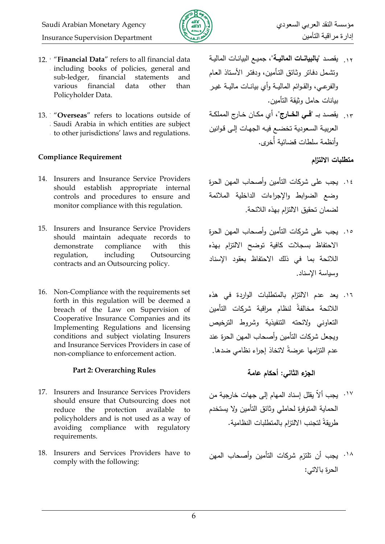

- 12. **9** "**Financial Data**" refers to all financial data **.** including books of policies, general and sub-ledger, financial statements and various financial data other than Policyholder Data.
- 13. **1** "**Overseas**" refers to locations outside of **3** Saudi Arabia in which entities are subject **.** to other jurisdictions' laws and regulations.

## **متطمبات االلتزام Requirement Compliance**

- 14. Insurers and Insurance Service Providers should establish appropriate internal controls and procedures to ensure and monitor compliance with this regulation.
- 15. Insurers and Insurance Service Providers should maintain adequate records to demonstrate compliance with this regulation, including Outsourcing contracts and an Outsourcing policy.
- 16. Non-Compliance with the requirements set forth in this regulation will be deemed a breach of the Law on Supervision of Cooperative Insurance Companies and its Implementing Regulations and licensing conditions and subject violating Insurers and Insurance Services Providers in case of non-compliance to enforcement action.

## **الجزء الثاني: أحكام عامة Rules Overarching 2: Part**

- 17. Insurers and Insurance Services Providers should ensure that Outsourcing does not reduce the protection available to policyholders and is not used as a way of avoiding compliance with regulatory requirements.
- 18. Insurers and Services Providers have to comply with the following:
- يقصػد "**بالبيانننات الماليننة"،** جميػع البيانػات الماليػة **9** .12 ونتثىمل دفـاتر وثـائق التـأمين، ودفتـر الأسـتاذ الـعـام والفرعـي، والقـوائم الماليــة وأي بيانــات ماليــة غيـر بيانات حامل وثيقة التأمين.
- ١٣. يقصد بـ "**فـّـي الخــارج**"، أي مكـان خـارج المملكـة العربية السعودية تخضـع فيـه الجهات إلـى قوانين وأنظمة سلطات قضائية أخرى. **.**

- ١٤. يجب على شركات التأمين وأصحاب المهن الحرة وضع الضوابط والإجراءات الداخلية الملائمة لضماف تحقيؽ االلتزاـ بيذه الالئحة.
- ١٥. يجب على شركات التأمين وأصحاب المهن الحرة االحتفاظ بسجالت كافية تكضح االلتزاـ بيذه اللائحة بما في ذلك الاحتفاظ بعقود الإسناد كسياسة اإلسناد.
- ١٦. يعد عدم الالتزام بالمتطلبات الواردة في هذه اللائحة مخالفةً لنظام مراقبة شركات التأمين التعاوني ولائحته التنفيذية وشروط الترخيص ويجعل شركات التأمين وأصحاب المهن الحرة عند عدم التزامها عرضةً لاتخاذ إجراء نظامي ضدها.

- ١٧. يجب ألاً يقلل إسناد المهام إلى جهات خارجية من الحماية المتوفرة لحاملي وثائق التأمين ولا يستخدم طريقةً لتجنب الالتزام بالمتطلبات النظامية.
- <sup>1۸</sup>. يجب أن تلتزم شركات التأمين وأصحاب المهن الحرة باالتي: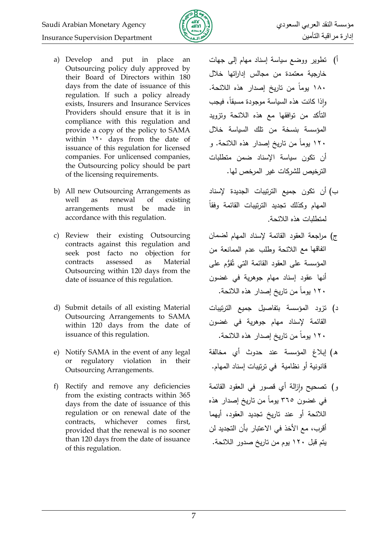

- a) Develop and put in place an Outsourcing policy duly approved by their Board of Directors within 180 days from the date of issuance of this regulation. If such a policy already exists, Insurers and Insurance Services Providers should ensure that it is in compliance with this regulation and provide a copy of the policy to SAMA within  $11 \cdot \text{days}$  from the date of issuance of this regulation for licensed companies. For unlicensed companies, the Outsourcing policy should be part of the licensing requirements.
- b) All new Outsourcing Arrangements as well as renewal of existing arrangements must be made in accordance with this regulation.
- c) Review their existing Outsourcing contracts against this regulation and seek post facto no objection for contracts assessed as Material Outsourcing within 120 days from the date of issuance of this regulation.
- d) Submit details of all existing Material Outsourcing Arrangements to SAMA within 120 days from the date of issuance of this regulation.
- e) Notify SAMA in the event of any legal or regulatory violation in their Outsourcing Arrangements.
- f) Rectify and remove any deficiencies from the existing contracts within 365 days from the date of issuance of this regulation or on renewal date of the contracts, whichever comes first, provided that the renewal is no sooner than 120 days from the date of issuance of this regulation.
- أ) تطوير ووضع سياسة إسناد مهام إلى جهات خارجية معتمدة من مجالس إداراتها خلال 181 يكمان مف تاريخ إصدار ىذه الالئحة. رإذا كانت هذه السياسة موجودة مسبقا، فيجب التأكد من توافقها مع هذه اللائحة وتزويد المؤسسة بنسخة من تلك السياسة خلال 11۰ يوماً من تاريخ إصدار ٍ هذه اللائحة. و أن تكون سياسة الإسناد ضمن متطلبات الترخيص للشركات غير المرخص لها.
- ب) أن تكون جميع الترتيبات الجديدة لإسناد المهام وكذلك تجديد الترتيبات القائمة وفقاً لمتطلبات هذه اللائحة.
- ج) مراجعة العقود القائمة لإسناد المهام لضمان اتفاقها مع اللائحة وطلب عدم الممانعة من المؤسسة على العقود القائمة التي تُقُوُّم على أنها عقود إسناد مهام جوهرية في غضون 121 يكمان مف تاريخ إصدار ىذه الالئحة.
- د) تزود المؤسسة بتفاصيل جميع الترتيبات القائمة لإسناد مهام جوهرية في غضون 121 يكمان مف تاريخ إصدار ىذه الالئحة.
- ه) إبلاغ المؤسسة عند حدوث أي مخالفة قانونية أو نظامية ًفي ترتيبات إسناد المهام.
- ر) تصحيح وإزالة أي قصور في العقود القائمة في غضون ٣٦٥ يوماً من تاريخ إصدار هذه اللائحة أو عند تاريخ تجديد العقود، أيهما أقرب، مع الأخذ في الاعتبار بأن التجديد لن يتم قبل ١٢٠ يوم من تاريخ صدور اللائحة.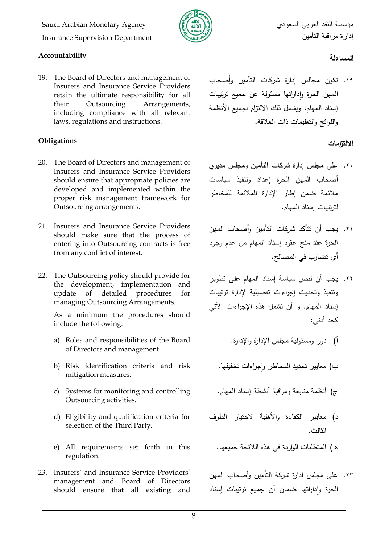

# **المساءلة Accountability**

19. The Board of Directors and management of Insurers and Insurance Service Providers retain the ultimate responsibility for all their Outsourcing Arrangements, including compliance with all relevant laws, regulations and instructions.

# **االلتزامات Obligations**

- 20. The Board of Directors and management of Insurers and Insurance Service Providers should ensure that appropriate policies are developed and implemented within the proper risk management framework for Outsourcing arrangements.
- 21. Insurers and Insurance Service Providers should make sure that the process of entering into Outsourcing contracts is free from any conflict of interest.
- 22. The Outsourcing policy should provide for the development, implementation and update of detailed procedures for managing Outsourcing Arrangements.

As a minimum the procedures should include the following:

- a) Roles and responsibilities of the Board of Directors and management.
- b) Risk identification criteria and risk mitigation measures.
- c) Systems for monitoring and controlling Outsourcing activities.
- d) Eligibility and qualification criteria for selection of the Third Party.
- e) All requirements set forth in this regulation.
- 23. Insurers' and Insurance Service Providers' management and Board of Directors should ensure that all existing and

١٩. تكون مجالس إدارة شركات التأمين وأصحاب المهن الحرة وإداراتها مسئولة عن جميع ترتيبات إسناد المـهام، ويشمل ذلك الالنزام بجميع الأنظمة واللوائح والتعليمات ذات العلاقة.

- .۲۰. على مجلس إدارة شركات التأمين ومجلس مديري أصحاب المهن الحرة إعداد وتنفيذ سياسات مالئمة ضمف إطار اإلدارة المالئمة لممخاطر لترتيبات إسناد المياـ.
- ٢١. يجب أن نتأكد شركات التأمين وأصحاب المهن الحرة عند منح عقود إسناد المهام من عدم وجود أم تضارب في المصالح.
- ٢٢. يجب أن تتص سياسة إسناد المهام على تطوير ونتفيذ وتحديث إجراءات تفصيلية لإدارة ترتيبات إسناد المهام. و أن تشمل هذه الإجراءات الآتي كحد أدنى:
	- أ) دور ومسئولية مجلس الإدارة والإدارة.

ب) معايير تحديد المخاطر واجراءات تخفيفها.

- ج) أنظمة متابعة ومراقبة أنشطة إسناد المهام.
- د) معايير الكفاءة والأهلية لاختيار الطرف الثالث.
	- هـ) المتطلبات الواردة في هذه اللائحة جميعها.
- ٢٣. على مجلس إدارة شركة التأمين وأصحاب المهن الحرة وإداراتها ضمان أن جميع ترتيبات إسناد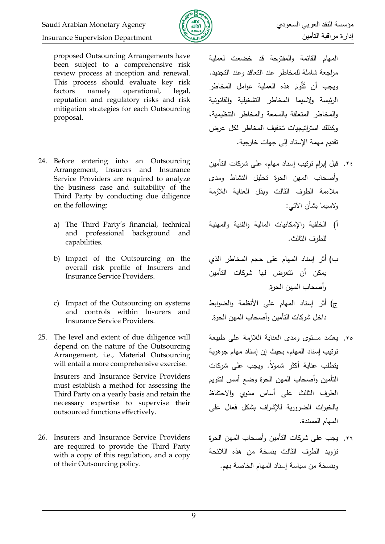

proposed Outsourcing Arrangements have been subject to a comprehensive risk review process at inception and renewal. This process should evaluate key risk factors namely operational, legal, reputation and regulatory risks and risk mitigation strategies for each Outsourcing proposal.

- 24. Before entering into an Outsourcing Arrangement, Insurers and Insurance Service Providers are required to analyze the business case and suitability of the Third Party by conducting due diligence on the following:
	- a) The Third Party's financial, technical and professional background and capabilities.
	- b) Impact of the Outsourcing on the overall risk profile of Insurers and Insurance Service Providers.
	- c) Impact of the Outsourcing on systems and controls within Insurers and Insurance Service Providers.
- 25. The level and extent of due diligence will depend on the nature of the Outsourcing Arrangement, i.e., Material Outsourcing will entail a more comprehensive exercise.

Insurers and Insurance Service Providers must establish a method for assessing the Third Party on a yearly basis and retain the necessary expertise to supervise their outsourced functions effectively.

26. Insurers and Insurance Service Providers are required to provide the Third Party with a copy of this regulation, and a copy of their Outsourcing policy.

المهام القائمة والمقترحة قد خضعت لعملية مراجعة شاملة للمخاطر عند التعاقد وعند التجديد. ويجب أن ثُقَّومَ هذه العملية عوامل المخاطر الرئيسة ولاسيما المخاطر التشغيلية والقانونية والمخاطر المتعلقة بالسمعة والمخاطر التتظيمية، وكذلك استراتيجيات تخفيف المخاطر لكل عرض تقديـ ميمة اإلسناد إلى جيات خارجية.

- ٢٤. قبل إبرام ترتيب إسناد مهام، على شركات التأمين وأصحاب المهن الحرة تحليل النشاط ومدى ملاءمة الطرف الثالث وبذل العناية اللازمة كالسيما بشأف اآلتي:
- أ) الخلفية والإمكانيات المالية والفنية والمهنية للطرف الثالث.
- ب) أثر إسناد المهام على حجم المخاطر الذي يمكن أن تتعرض لها شركات التأمين وأصحاب المهن الحرة.
- ج) أثر إسناد المهام على الأنظمة والضوابط داخل شركات التأمين وأصحاب المهن الحرة.
- ٢٥. يعتمد مستوى ومدى العنابة اللازمة على طبيعة ترتيب إسناد المهام، بحيث إن إسناد مهام جوهرية يتطلب عناية أكثر شمولاً. ويجب على شركات التأمين وأصحاب المهن الحرة وضع أسس لتقويم الطرف الثالث على أساس سنوى والاحتفاظ بالخبرات الضرورية للإشراف بشكل فعال على المهام المسندة.
- ٢٦. يجب على شركات التأمين وأصحاب المهن الحرة تزويد الطرف الثالث بنسخة من هذه اللائحة وبنسخة من سياسة إسناد المهام الخاصة بهم.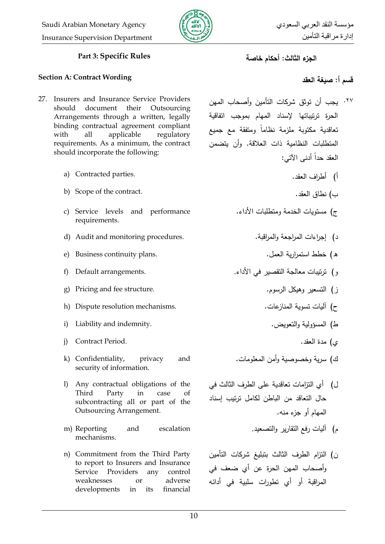

### **الجزء الثالث: أحكام خاصة Rules Specific 3: Part**

### **قسم أ: صيغة العقد Wording Contract :A Section**

- 27. Insurers and Insurance Service Providers should document their Outsourcing Arrangements through a written, legally binding contractual agreement compliant with all applicable regulatory requirements. As a minimum, the contract should incorporate the following:
	- a) Contracted parties.
	- b) Scope of the contract. .العقد نطاؽ( ب
	- c) Service levels and performance requirements.
	- d) Audit and monitoring procedures. .كالمراقبة المراجعة إجرانات( د
	- ق( خطط استمرارية العمؿ. .plans continuity Business) e
	-
	- g) Pricing and fee structure. .الرسكـ كىيكؿ التسعير( ز
	- ح( آليات تسكية المنازعات. .mechanisms resolution Dispute) h
	- i) Liability and indemnity. .كالتعكيه المسؤكلية( ط
	- م( مدة العقد. .Period Contract) j
	- k) Confidentiality, privacy and security of information.
	- l) Any contractual obligations of the Third Party in case of subcontracting all or part of the Outsourcing Arrangement.
	- m) Reporting and escalation mechanisms.
	- n) Commitment from the Third Party to report to Insurers and Insurance Service Providers any control weaknesses or adverse developments in its financial

- <sup>77</sup>· يجب أن توثق شركات التأمين وأصحاب المهن الحرة ترتيباتها لإسناد المهام بموجب اتفاقية تعاقدية مكتوبة ملزمة نظاماً ومتفقة مع جميع المتطلبات النظامية ذات العلاقة. وأن يتضمن العقد حداً أدنى الآتي:
	- أ) أطراف العقد.
	-
	- ج) مستويات الخدمة ومتطلبات الأداء.
		- -
- ك( ترتيبات معالجة التقصير في األدان. .arrangements Default) f
	-
	- - -
	- ك) سرية وخصوصية وأمن المعلومات.
	- ل) أي التزامات تعاقدية على الطرف الثالث في حال التعاقد من الباطن لكامل ترتيب إسناد المهام أو جزء منه.
		- م) آليات رفع التقارير والتصعيد.
	- ن) التزام الطرف الثالث بتبليغ شركات التأمين وأصحاب المهن الحرة عن أي ضعف في المراقبة أو أي تطورات سلبية في أدائه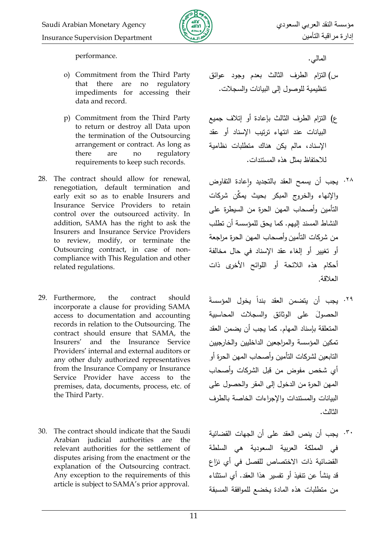

المالي. .performance

- o) Commitment from the Third Party that there are no regulatory impediments for accessing their data and record.
- p) Commitment from the Third Party to return or destroy all Data upon the termination of the Outsourcing arrangement or contract. As long as there are no regulatory requirements to keep such records.
- 28. The contract should allow for renewal, renegotiation, default termination and early exit so as to enable Insurers and Insurance Service Providers to retain control over the outsourced activity. In addition, SAMA has the right to ask the Insurers and Insurance Service Providers to review, modify, or terminate the Outsourcing contract, in case of noncompliance with This Regulation and other related regulations.
- 29. Furthermore, the contract should incorporate a clause for providing SAMA access to documentation and accounting records in relation to the Outsourcing. The contract should ensure that SAMA, the Insurers' and the Insurance Service Providers' internal and external auditors or any other duly authorized representatives from the Insurance Company or Insurance Service Provider have access to the premises, data, documents, process, etc. of the Third Party.
- 30. The contract should indicate that the Saudi Arabian judicial authorities are the relevant authorities for the settlement of disputes arising from the enactment or the explanation of the Outsourcing contract. Any exception to the requirements of this article is subject to SAMA's prior approval.

- س) التزام الطرف الثالث بعدم وجود عوائق نتظيمية للوصول إلى البيانات والسجلات.
- ع) التزام الطرف الثالث بإعادة أو إتلاف جميع البيانات عند انتهاء ترتبب الإسناد أو عقد اإلسناد، مالـ يكف ىناؾ متطمبات نظامية لالحتفاظ بمثؿ ىذه المستندات.
- ٢٨. يجب أن يسمح العقد بالتجديد وإعادة التفاوض كاإلنيان كالخركج المبكر بحيث يمِّكف شركات التأمين وأصحاب المهن الحرة من السيطرة على النشاط المسند إليهم. كما يحق للمؤسسة أن تطلب من شركات التأمين وأصحاب المهن الحرة مراجعة أو تغيير أو إلغاء عقد الإسناد في حال مخالفة أحكام هذه اللائحة أو اللوائح الأخرى ذات العالقة.
- ٢٩. يجب أن يتضمن العقد بنداً يخول المؤسسةَ الحصولَ على الوثائق والسجلات المحاسبية المتعلقة بإسناد المهام. كما يجب أن يضمن العقد تمكين المؤسسة والمراجعين الداخليين والخارجيين التابعين لشركات التأمين وأصحاب المهن الحرة أو أي شخص مفوض من قبل الشركات وأصحاب المهن الحرة من الدخول إلى المقر والحصول على البيانات والمستندات والإجراءات الخاصة بالطرف الثالث.
- يجب أف ينص العقد عمى أف الجيات القضائية .31في المملكة العربية السعودية هي السلطة القضائية ذات الاختصاص للفصل في أي نزاع قد ينشأ عن تنفيذ أو تفسير هذا العقد. أي استثناء من متطلبات هذه المادة يخضع للموافقة المسبقة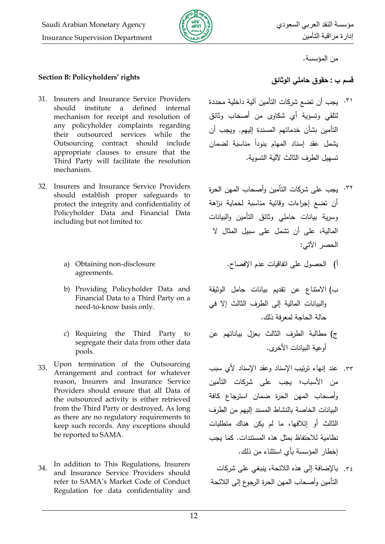

من المؤسسة.

## **قسم ب : حقوق حاممي الوثائق rights' Policyholders :B Section**

- 31. Insurers and Insurance Service Providers should institute a defined internal mechanism for receipt and resolution of any policyholder complaints regarding their outsourced services while the Outsourcing contract should include appropriate clauses to ensure that the Third Party will facilitate the resolution mechanism.
- 32. Insurers and Insurance Service Providers should establish proper safeguards to protect the integrity and confidentiality of Policyholder Data and Financial Data including but not limited to:
	- a) Obtaining non-disclosure agreements.
	- b) Providing Policyholder Data and Financial Data to a Third Party on a need-to-know basis only.
	- c) Requiring the Third Party to segregate their data from other data pools.
- 33. Upon termination of the Outsourcing Arrangement and contract for whatever reason, Insurers and Insurance Service Providers should ensure that all Data of the outsourced activity is either retrieved from the Third Party or destroyed, As long as there are no regulatory requirements to keep such records. Any exceptions should be reported to SAMA.
- 34. In addition to This Regulations, Insurers and Insurance Service Providers should refer to SAMA's Market Code of Conduct Regulation for data confidentiality and

- يجب أف تضع شركات التأميف آلية داخمية محددة .31 لتلقي وتسوية أي شكاوي من أصحاب وثائق التأمين بشأن خدماتهم المسندة إليهم. وبجب أن بشمل عقد إسناد المهام بنودا مناسبة لضمان تسهيل الطرف الثالث لآلية التسوية.
- <sup>٣٢.</sup> يجب على شركات التأمين وأصحاب المهن الحرة أن تضع إجراءات وقائية مناسبة لحماية نزاهة وسرية بيانات حاملي وثائق التأمين والبيانات المالية، على أن تشمل على سبيل المثال لا الحصر اآلتي:
	- أ) الحصول على اتفاقيات عدم الإفصاح.
- ب) الامتناع عن تقديم بيانات حامل الوثيقة والبيانات المالية إلى الطرف الثالث إلا في حالة الحاجة لمعرفة ذلك.
- ج) مطالبة الطرف الثالث بعزل بياناتهم عن أوعية البيانات الأخرى.
- ٣٣. عند إنهاء ترتيب الإسناد وعقد الإسناد لأي سبب من الأسباب؛ يجب على شركات التأمين كأصحاب الميف الحرة ضماف استرجاع كافة البيانات الخاصة بالنشاط المسند إليهم من الطرف الثالث أو إتلافها، ما لم يكن هناك متطلبات نظامية لالحتفاظ بمثؿ ىذه المستندات. كما يجب إخطار المؤسسة بأى استثناء من ذلك.
- ٣٤. بالإضافة إلى هذه اللائحة، ينبغي على شركات التأمين وأصحاب المهن الحرة الرجوع إلى اللائحة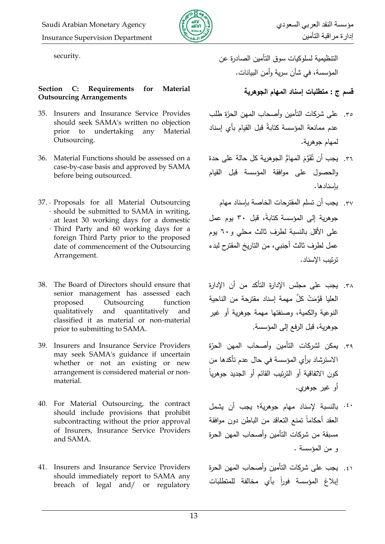

### **Section C: Requirements for Material Outsourcing Arrangements**

- 35. Insurers and Insurance Service Provides should seek SAMA's written no objection prior to undertaking any Material Outsourcing.
- 36. Material Functions should be assessed on a case-by-case basis and approved by SAMA before being outsourced.
- م 37. Proposals for all Material Outsourcing should be submitted to SAMA in writing, د at least 30 working days for a domestic م Third Party and 60 working days for a foreign Third Party prior to the proposed date of commencement of the Outsourcing Arrangement.
- 38. The Board of Directors should ensure that senior management has assessed each proposed Outsourcing function qualitatively and quantitatively and classified it as material or non-material prior to submitting to SAMA.
- 39. Insurers and Insurance Service Providers may seek SAMA's guidance if uncertain whether or not an existing or new arrangement is considered material or nonmaterial.
- 40. For Material Outsourcing, the contract should include provisions that prohibit subcontracting without the prior approval of Insurers, Insurance Service Providers and SAMA.
- 41. Insurers and Insurance Service Providers should immediately report to SAMA any breach of legal and/ or regulatory

التنظيمية لسلوكيات سوق التأمين الصادرة عن .<br>التنظيمية لسلوكيات سوق التأمين الصادرة عن المؤسسة، في شأن سرية وأمن البيانات.

### **قسم ج : متطمبات إسناد المهام الجوهرية**

- ٣٥. على شركات التأمين وأصحاب المهن الحرّة طلب عدم ممانعة المؤسسة كتابةً قبل القيام بأى إسناد لمهام جوهرية.
- ٣٦. يجب أن تَقَوَّمَ المهامُ الجوهرية كل حالة على حدة والحصول على موافقة المؤسسة قبل القيام بإسنادىا.
- ٣٧. يجب أن تسلم المقترحات الخاصـة بإسناد مهام جوهرية إلى المؤسسة كتابةً، قبل ٣٠ يوم عمل على الأقل بالنسبة لطرف ثالث محلي و ٦٠ يوم عمل لطرف ثالث أجنبي، من التاريخ المقترح لبدء ترتيب اإلسناد.
- ٣٨. يجب على مجلس الإدارة التأكد من أن الإدارة العليا قَوَّمَتْ كلَّ مهمة إسناد مقترحة من الناحية النوعية والكمية، وصنفتها مهمة جوهرية أو غير جوهرية، قبل الرفع إلى المؤسسة.
- ٣٩. يمكن لشركات التأمين وأصحاب المهن الحرّة الاسترشاد برأى المؤسسة في حال عدم تأكدها من كون الاتفاقية أو الترتيب القائم أو الجديد جوهرياً أو غبر جوهري.
- <sup>٤٠</sup>. بالنسبة لإسناد مهام جوهرية؛ يجب أن يشمل العقد أحكاماً تمنع التعاقد من الباطن دون موافقة مسبقة من شركات التأمين وأصحاب المهن الحرة و من المؤسسة .
- ٤١. يجب على شركات التأمين وأصحاب المهن الحرة إبلاغ المؤسسة فوراً بأى مخالفة للمتطلبات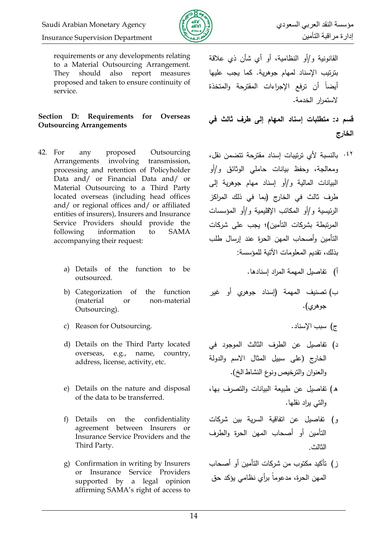



requirements or any developments relating to a Material Outsourcing Arrangement. They should also report measures proposed and taken to ensure continuity of service.

### **Section D: Requirements for Overseas Outsourcing Arrangements**

- 42. For any proposed Outsourcing Arrangements involving transmission, processing and retention of Policyholder Data and/ or Financial Data and/ or Material Outsourcing to a Third Party located overseas (including head offices and/ or regional offices and/ or affiliated entities of insurers), Insurers and Insurance Service Providers should provide the following information to SAMA accompanying their request:
	- a) Details of the function to be outsourced.
	- b) Categorization of the function (material or non-material Outsourcing).
	- c) Reason for Outsourcing. .اإلسناد سبب( ج
	- d) Details on the Third Party located overseas, e.g., name, country, address, license, activity, etc.
	- e) Details on the nature and disposal of the data to be transferred.
	- f) Details on the confidentiality agreement between Insurers or Insurance Service Providers and the Third Party.
	- g) Confirmation in writing by Insurers or Insurance Service Providers supported by a legal opinion affirming SAMA's right of access to

القانونية و/أو النظامية، أو أي شأن ذي علاقة بترتيب الإسناد لمهام جوهرية. كما يجب عليها أيضاً أن ترفع الإجراءات المقترحة والمتخذة الستمرار الخدمة.

**قسم د: متطمبات إسناد المهام إلى طرف ثالث في الخارج**

- <sup>٤٢.</sup> بالنسبة لأي ترتيبات إسناد مقترحة تتضمن نقل، ومعالجة، وحفظ بيانات حاملي الوثائق و/أو البيانات المالية و/أو إسناد مهام جوهرية إلى طرف ثالث في الخارج (بما في ذلك المراكز الرئيسية و/أو المكاتب الإقليمية و/أو المؤسسات المرتبطة بشركات التأمين)؛ يجب على شركات التأمين وأصحاب المهن الحرة عند إرسال طلب بذلك، تقديم المعلومات الآتية للمؤسسة:
	- أ) تفاصيل المهمة المراد إسنادها.
- ب) تصنيف المهمة (إسناد جوهري أو غير جوهري).
	-
- د) تفاصيل عن الطرف الثالث الموجود في الخارج (على سبيل المثال الاسم والدولة والعنوان والترخيص ونوع النشاط الخ).
- ه) تفاصيل عن طبيعة البيانات والتصرف بها، والتي يراد نقلها.
- و) تفاصيل عن اتفاقية السرية بين شركات التأمين أو أصحاب المهن الحرة والطرف الثالث.
- ز ) تأكيد مكتوب من شركات التأمين أو أصحاب المهن الحرة، مدعوماً برأي نظامي يؤكد حق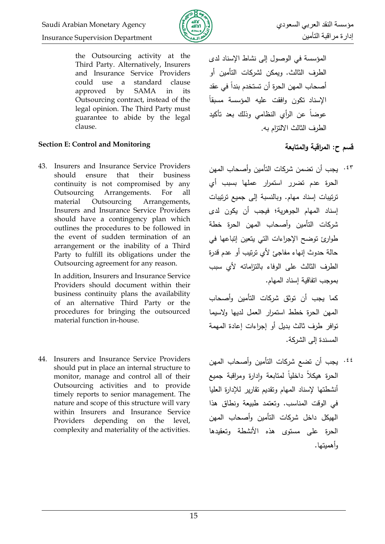

the Outsourcing activity at the Third Party. Alternatively, Insurers and Insurance Service Providers could use a standard clause approved by SAMA in its Outsourcing contract, instead of the legal opinion. The Third Party must guarantee to abide by the legal clause.

## **Section E: Control and Monitoring والمتابعة المراقبة :ح قسم**

43. Insurers and Insurance Service Providers should ensure that their business continuity is not compromised by any Outsourcing Arrangements. For all material Outsourcing Arrangements, Insurers and Insurance Service Providers should have a contingency plan which outlines the procedures to be followed in the event of sudden termination of an arrangement or the inability of a Third Party to fulfill its obligations under the Outsourcing agreement for any reason.

> In addition, Insurers and Insurance Service Providers should document within their business continuity plans the availability of an alternative Third Party or the procedures for bringing the outsourced material function in-house.

44. Insurers and Insurance Service Providers should put in place an internal structure to monitor, manage and control all of their Outsourcing activities and to provide timely reports to senior management. The nature and scope of this structure will vary within Insurers and Insurance Service Providers depending on the level, complexity and materiality of the activities. المؤسسة في الوصول إلى نشاط الإسناد لدي الطرف الثالث. وبمكن لشركات التأمين أو أصبحاب المهن الحرة أن تستخدم بنداً في عقد الإسناد تكون وافقت علبه المؤسسة مسبقاً عوضاً عن الرأى النظامي وذلك بعد تأكيد الطرف الثالث الالتزام به.

يجب أف تضمف شركات التأميف كأصحاب الميف .43 الحرة عدـ تضرر استمرار عمميا بسبب أم ترتيبات إسناد مهام. وبالنسبة إلى جميع ترتيبات إسناد المهام الجوهرية؛ فيجب أن يكون لدى شركات التأميف كأصحاب الميف الحرة خطة طوارئ توضح الإجراءات التي يتعين إتباعها في حالة حدوث إنهاء مفاجئ لأي ترتيب أو عدم قدرة الطرف الثالث على الوفاء بالتزاماته لأى سبب بموجب اتفاقية إسناد المهام.

كما يجب أن توثق شركات التأمين وأصحاب المهن الحرة خطط استمرار العمل لديها ولاسيما توافر طرف ثالث بديل أو إجراءات إعادة المهمة المسندة إلى الشركة.

<sup>٤٤</sup>. يجب أن تضع شركات التأمين وأصحاب المهن الحرة هيكلا داخليا لمتابعة وإدارة ومراقبة جميع أنشطتها لإسناد المهام وتقديم تقارير للإدارة العليا في الوقت المناسب. وتعتمد طبيعة ونطاق هذا الهيكل داخل شركات التأمين وأصحاب المهن الحرة على مستوى هذه الأنشطة وتعقيدها وأهميتها.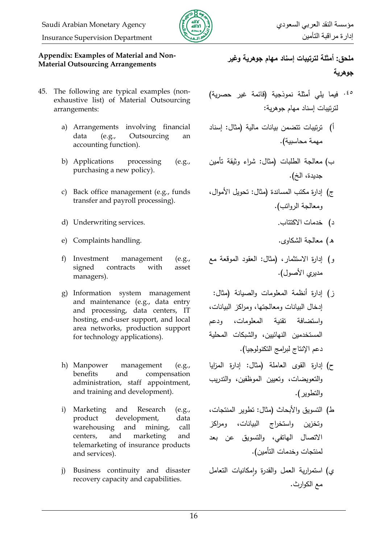

إدارة مراقبت التأميه Department Supervision Insurance

### **Appendix: Examples of Material and Non-Material Outsourcing Arrangements**

- 45. The following are typical examples (nonexhaustive list) of Material Outsourcing arrangements:
	- a) Arrangements involving financial data (e.g., Outsourcing an accounting function).
	- b) Applications processing (e.g., purchasing a new policy).
	- c) Back office management (e.g., funds transfer and payroll processing).
	- د( خدمات االكتتاب. .services Underwriting) d
	- ق( معالجة الشكاكل. .handling Complaints) e
	- f) Investment management (e.g., signed contracts with asset managers).
	- g) Information system management and maintenance (e.g., data entry and processing, data centers, IT hosting, end-user support, and local area networks, production support for technology applications).
	- h) Manpower management (e.g., benefits and compensation administration, staff appointment, and training and development).
	- i) Marketing and Research (e.g., product development, data warehousing and mining, call centers, and marketing and telemarketing of insurance products and services).
	- j) Business continuity and disaster recovery capacity and capabilities.

**ممحق: أمثمة لترتيبات إسناد مهام جوهرية وغير جوهرية**

- <sup>60</sup> فيما يلي أمثلة نموذجية (قائمة غير حصرية) لترتيبات إسناد مهام جوهرية:
- أ) ترتيبات تتضمن بيانات مالية (مثال: إسناد مهمة محاسبية).
- ب) معالجة الطلبات (مثال: شراء وثيقة تأمين جديدة، الخ).
- ج) إدارة مكتب المساندة (مثال: تحويل الأموال، ومعالجة الرواتب).
	-
	-
- و) إدارة الاستثمار، (مثال: العقود الموقعة مع مديري الأصول).
- ز) إدارة أنظمة المعلومات والصيانة (مثال: إدخال البيانات ومعالجتها، ومراكز البيانات، واستضافة تقنية المعلومات، ودعم المستخدمين النهائيين، والشبكات المحلية دعم الإنتاج لبرامج التكنولوجيا).
- ح) إدارة القوى العاملة (مثال: إدارة المزايا والتعويضات، وتعيين الموظفين، والتدريب والتطوير ).
- ط) التسويق والأبحاث (مثال: تطوير المنتجات، وتخزين واستخراج البيانات، ومراكز الاتصال الهاتفي، والتسويق عن بعد لمنتجات وخدمات التأمين).
- ي) استمرارية العمل والقدرة وإمكانيات التعامل مع الكوارث.